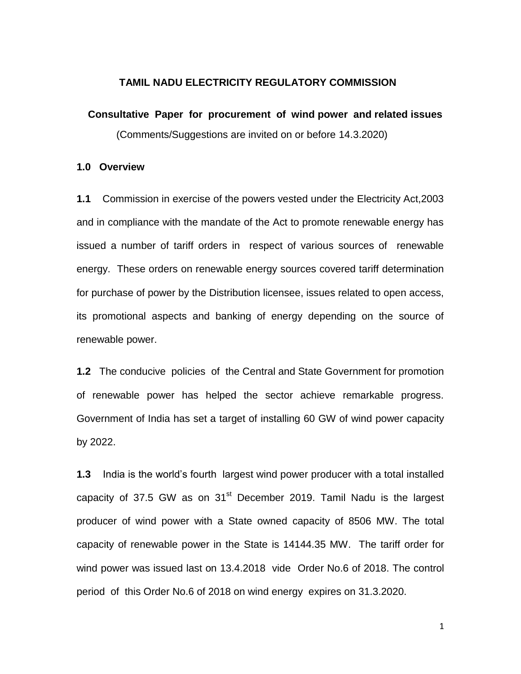## **TAMIL NADU ELECTRICITY REGULATORY COMMISSION**

#### **Consultative Paper for procurement of wind power and related issues**

(Comments/Suggestions are invited on or before 14.3.2020)

#### **1.0 Overview**

**1.1** Commission in exercise of the powers vested under the Electricity Act,2003 and in compliance with the mandate of the Act to promote renewable energy has issued a number of tariff orders in respect of various sources of renewable energy. These orders on renewable energy sources covered tariff determination for purchase of power by the Distribution licensee, issues related to open access, its promotional aspects and banking of energy depending on the source of renewable power.

**1.2** The conducive policies of the Central and State Government for promotion of renewable power has helped the sector achieve remarkable progress. Government of India has set a target of installing 60 GW of wind power capacity by 2022.

**1.3** India is the world's fourth largest wind power producer with a total installed capacity of 37.5 GW as on  $31<sup>st</sup>$  December 2019. Tamil Nadu is the largest producer of wind power with a State owned capacity of 8506 MW. The total capacity of renewable power in the State is 14144.35 MW. The tariff order for wind power was issued last on 13.4.2018 vide Order No.6 of 2018. The control period of this Order No.6 of 2018 on wind energy expires on 31.3.2020.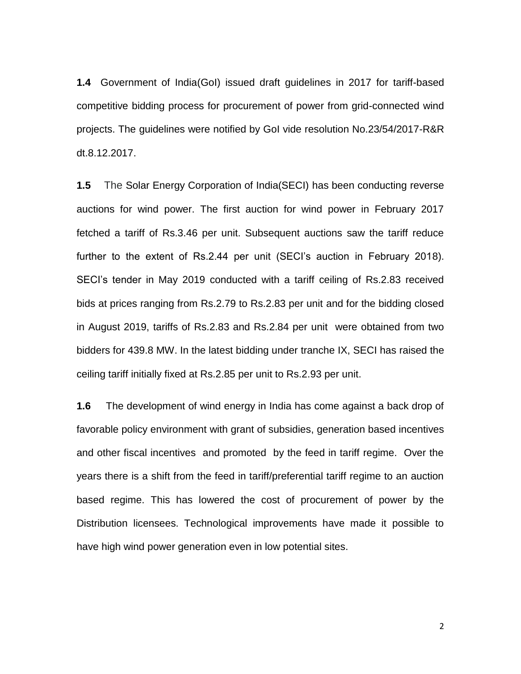**1.4** Government of India(GoI) issued draft guidelines in 2017 for tariff-based competitive bidding process for procurement of power from grid-connected wind projects. The guidelines were notified by GoI vide resolution No.23/54/2017-R&R dt.8.12.2017.

**1.5** The Solar Energy Corporation of India(SECI) has been conducting reverse auctions for wind power. The first auction for wind power in February 2017 fetched a tariff of Rs.3.46 per unit. Subsequent auctions saw the tariff reduce further to the extent of Rs.2.44 per unit (SECI's auction in February 2018). SECI's tender in May 2019 conducted with a tariff ceiling of Rs.2.83 received bids at prices ranging from Rs.2.79 to Rs.2.83 per unit and for the bidding closed in August 2019, tariffs of Rs.2.83 and Rs.2.84 per unit were obtained from two bidders for 439.8 MW. In the latest bidding under tranche IX, SECI has raised the ceiling tariff initially fixed at Rs.2.85 per unit to Rs.2.93 per unit.

**1.6** The development of wind energy in India has come against a back drop of favorable policy environment with grant of subsidies, generation based incentives and other fiscal incentives and promoted by the feed in tariff regime. Over the years there is a shift from the feed in tariff/preferential tariff regime to an auction based regime. This has lowered the cost of procurement of power by the Distribution licensees. Technological improvements have made it possible to have high wind power generation even in low potential sites.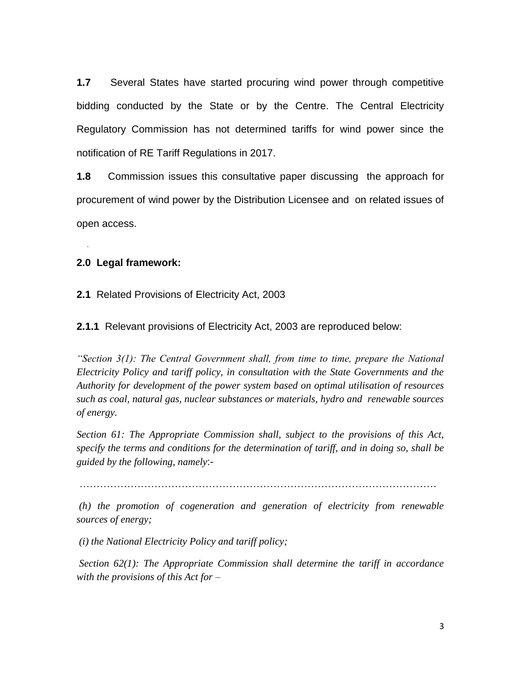**1.7** Several States have started procuring wind power through competitive bidding conducted by the State or by the Centre. The Central Electricity Regulatory Commission has not determined tariffs for wind power since the notification of RE Tariff Regulations in 2017.

**1.8** Commission issues this consultative paper discussing the approach for procurement of wind power by the Distribution Licensee and on related issues of open access.

## **2.0 Legal framework:**

.

**2.1** Related Provisions of Electricity Act, 2003

**2.1.1** Relevant provisions of Electricity Act, 2003 are reproduced below:

*"Section 3(1): The Central Government shall, from time to time, prepare the National Electricity Policy and tariff policy, in consultation with the State Governments and the Authority for development of the power system based on optimal utilisation of resources such as coal, natural gas, nuclear substances or materials, hydro and renewable sources of energy.* 

*Section 61: The Appropriate Commission shall, subject to the provisions of this Act, specify the terms and conditions for the determination of tariff, and in doing so, shall be guided by the following, namely*:-

……………………………………………………………………………………………

*(h) the promotion of cogeneration and generation of electricity from renewable sources of energy;* 

*(i) the National Electricity Policy and tariff policy;* 

*Section 62(1): The Appropriate Commission shall determine the tariff in accordance with the provisions of this Act for –*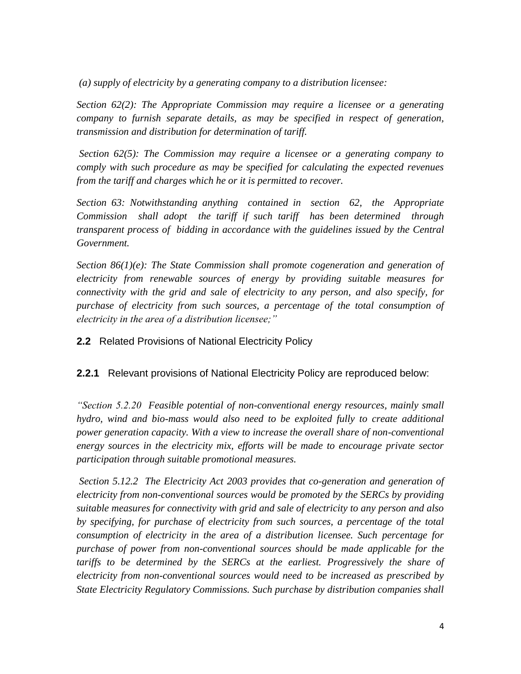*(a) supply of electricity by a generating company to a distribution licensee:* 

*Section 62(2): The Appropriate Commission may require a licensee or a generating company to furnish separate details, as may be specified in respect of generation, transmission and distribution for determination of tariff.* 

*Section 62(5): The Commission may require a licensee or a generating company to comply with such procedure as may be specified for calculating the expected revenues from the tariff and charges which he or it is permitted to recover.*

*Section 63: Notwithstanding anything contained in section 62, the Appropriate Commission shall adopt the tariff if such tariff has been determined through transparent process of bidding in accordance with the guidelines issued by the Central Government.* 

*Section 86(1)(e): The State Commission shall promote cogeneration and generation of electricity from renewable sources of energy by providing suitable measures for connectivity with the grid and sale of electricity to any person, and also specify, for purchase of electricity from such sources, a percentage of the total consumption of electricity in the area of a distribution licensee;"* 

**2.2** Related Provisions of National Electricity Policy

**2.2.1** Relevant provisions of National Electricity Policy are reproduced below:

*"Section 5.2.20 Feasible potential of non-conventional energy resources, mainly small hydro, wind and bio-mass would also need to be exploited fully to create additional power generation capacity. With a view to increase the overall share of non-conventional energy sources in the electricity mix, efforts will be made to encourage private sector participation through suitable promotional measures.* 

*Section 5.12.2 The Electricity Act 2003 provides that co-generation and generation of electricity from non-conventional sources would be promoted by the SERCs by providing suitable measures for connectivity with grid and sale of electricity to any person and also by specifying, for purchase of electricity from such sources, a percentage of the total consumption of electricity in the area of a distribution licensee. Such percentage for purchase of power from non-conventional sources should be made applicable for the tariffs to be determined by the SERCs at the earliest. Progressively the share of electricity from non-conventional sources would need to be increased as prescribed by State Electricity Regulatory Commissions. Such purchase by distribution companies shall*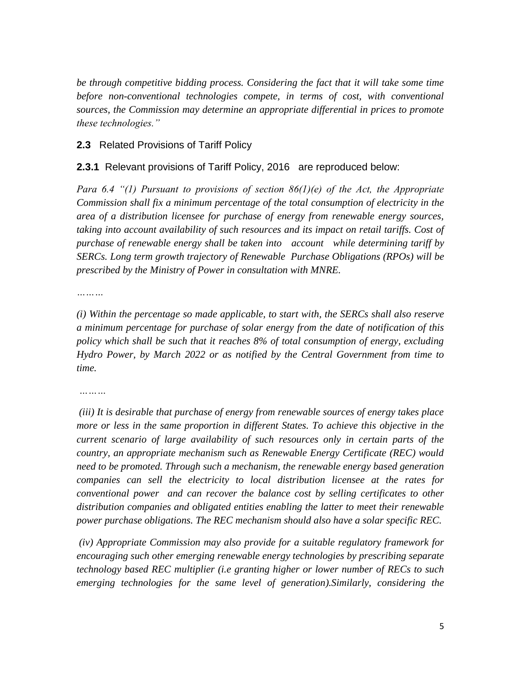*be through competitive bidding process. Considering the fact that it will take some time before non-conventional technologies compete, in terms of cost, with conventional sources, the Commission may determine an appropriate differential in prices to promote these technologies."* 

# **2.3** Related Provisions of Tariff Policy

# **2.3.1** Relevant provisions of Tariff Policy, 2016 are reproduced below:

*Para 6.4 "(1) Pursuant to provisions of section 86(1)(e) of the Act, the Appropriate Commission shall fix a minimum percentage of the total consumption of electricity in the area of a distribution licensee for purchase of energy from renewable energy sources, taking into account availability of such resources and its impact on retail tariffs. Cost of purchase of renewable energy shall be taken into account while determining tariff by SERCs. Long term growth trajectory of Renewable Purchase Obligations (RPOs) will be prescribed by the Ministry of Power in consultation with MNRE.*

*………*

*(i) Within the percentage so made applicable, to start with, the SERCs shall also reserve a minimum percentage for purchase of solar energy from the date of notification of this policy which shall be such that it reaches 8% of total consumption of energy, excluding Hydro Power, by March 2022 or as notified by the Central Government from time to time.* 

*………*

*(iii) It is desirable that purchase of energy from renewable sources of energy takes place more or less in the same proportion in different States. To achieve this objective in the current scenario of large availability of such resources only in certain parts of the country, an appropriate mechanism such as Renewable Energy Certificate (REC) would need to be promoted. Through such a mechanism, the renewable energy based generation companies can sell the electricity to local distribution licensee at the rates for conventional power and can recover the balance cost by selling certificates to other distribution companies and obligated entities enabling the latter to meet their renewable power purchase obligations. The REC mechanism should also have a solar specific REC.* 

*(iv) Appropriate Commission may also provide for a suitable regulatory framework for encouraging such other emerging renewable energy technologies by prescribing separate technology based REC multiplier (i.e granting higher or lower number of RECs to such emerging technologies for the same level of generation).Similarly, considering the*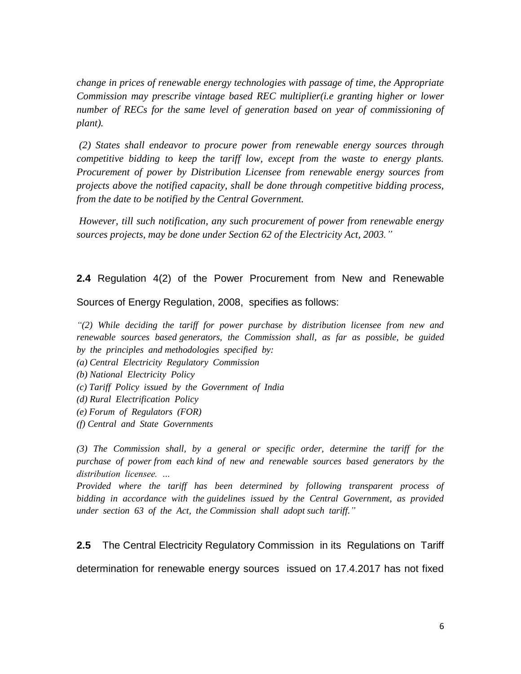*change in prices of renewable energy technologies with passage of time, the Appropriate Commission may prescribe vintage based REC multiplier(i.e granting higher or lower number of RECs for the same level of generation based on year of commissioning of plant).* 

*(2) States shall endeavor to procure power from renewable energy sources through competitive bidding to keep the tariff low, except from the waste to energy plants. Procurement of power by Distribution Licensee from renewable energy sources from projects above the notified capacity, shall be done through competitive bidding process, from the date to be notified by the Central Government.* 

*However, till such notification, any such procurement of power from renewable energy sources projects, may be done under Section 62 of the Electricity Act, 2003."*

**2.4** Regulation 4(2) of the Power Procurement from New and Renewable

Sources of Energy Regulation, 2008, specifies as follows:

*"(2) While deciding the tariff for power purchase by distribution licensee from new and renewable sources based generators, the Commission shall, as far as possible, be guided by the principles and methodologies specified by:*

- *(a) Central Electricity Regulatory Commission*
- *(b) National Electricity Policy*
- *(c) Tariff Policy issued by the Government of India*
- *(d) Rural Electrification Policy*
- *(e) Forum of Regulators (FOR)*
- *(f) Central and State Governments*

*(3) The Commission shall, by a general or specific order, determine the tariff for the purchase of power from each kind of new and renewable sources based generators by the distribution licensee. …*

*Provided where the tariff has been determined by following transparent process of bidding in accordance with the guidelines issued by the Central Government, as provided under section 63 of the Act, the Commission shall adopt such tariff."*

**2.5** The Central Electricity Regulatory Commission in its Regulations on Tariff determination for renewable energy sources issued on 17.4.2017 has not fixed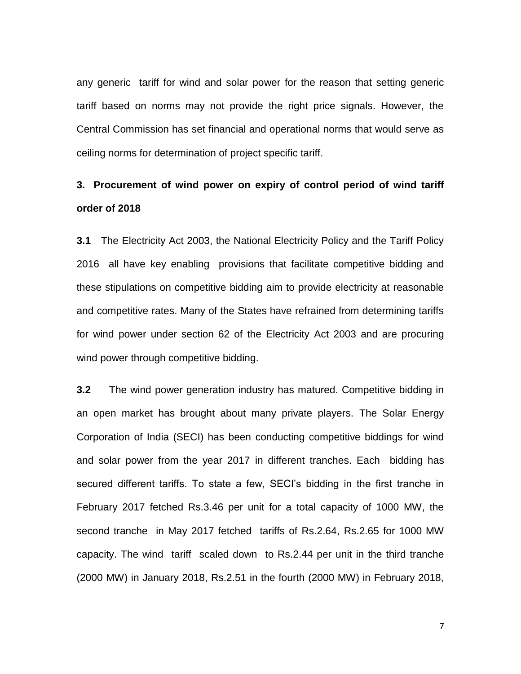any generic tariff for wind and solar power for the reason that setting generic tariff based on norms may not provide the right price signals. However, the Central Commission has set financial and operational norms that would serve as ceiling norms for determination of project specific tariff.

# **3. Procurement of wind power on expiry of control period of wind tariff order of 2018**

**3.1** The Electricity Act 2003, the National Electricity Policy and the Tariff Policy 2016 all have key enabling provisions that facilitate competitive bidding and these stipulations on competitive bidding aim to provide electricity at reasonable and competitive rates. Many of the States have refrained from determining tariffs for wind power under section 62 of the Electricity Act 2003 and are procuring wind power through competitive bidding.

**3.2** The wind power generation industry has matured. Competitive bidding in an open market has brought about many private players. The Solar Energy Corporation of India (SECI) has been conducting competitive biddings for wind and solar power from the year 2017 in different tranches. Each bidding has secured different tariffs. To state a few, SECI's bidding in the first tranche in February 2017 fetched Rs.3.46 per unit for a total capacity of 1000 MW, the second tranche in May 2017 fetched tariffs of Rs.2.64, Rs.2.65 for 1000 MW capacity. The wind tariff scaled down to Rs.2.44 per unit in the third tranche (2000 MW) in January 2018, Rs.2.51 in the fourth (2000 MW) in February 2018,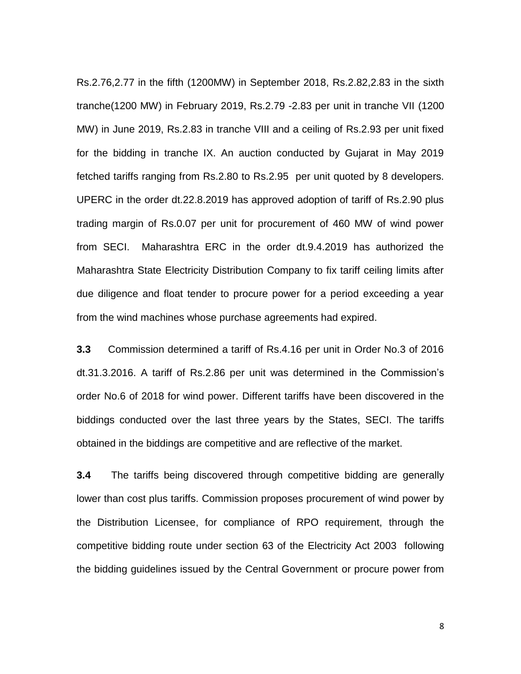Rs.2.76,2.77 in the fifth (1200MW) in September 2018, Rs.2.82,2.83 in the sixth tranche(1200 MW) in February 2019, Rs.2.79 -2.83 per unit in tranche VII (1200 MW) in June 2019, Rs.2.83 in tranche VIII and a ceiling of Rs.2.93 per unit fixed for the bidding in tranche IX. An auction conducted by Gujarat in May 2019 fetched tariffs ranging from Rs.2.80 to Rs.2.95 per unit quoted by 8 developers. UPERC in the order dt.22.8.2019 has approved adoption of tariff of Rs.2.90 plus trading margin of Rs.0.07 per unit for procurement of 460 MW of wind power from SECI. Maharashtra ERC in the order dt.9.4.2019 has authorized the Maharashtra State Electricity Distribution Company to fix tariff ceiling limits after due diligence and float tender to procure power for a period exceeding a year from the wind machines whose purchase agreements had expired.

**3.3** Commission determined a tariff of Rs.4.16 per unit in Order No.3 of 2016 dt.31.3.2016. A tariff of Rs.2.86 per unit was determined in the Commission's order No.6 of 2018 for wind power. Different tariffs have been discovered in the biddings conducted over the last three years by the States, SECI. The tariffs obtained in the biddings are competitive and are reflective of the market.

**3.4** The tariffs being discovered through competitive bidding are generally lower than cost plus tariffs. Commission proposes procurement of wind power by the Distribution Licensee, for compliance of RPO requirement, through the competitive bidding route under section 63 of the Electricity Act 2003 following the bidding guidelines issued by the Central Government or procure power from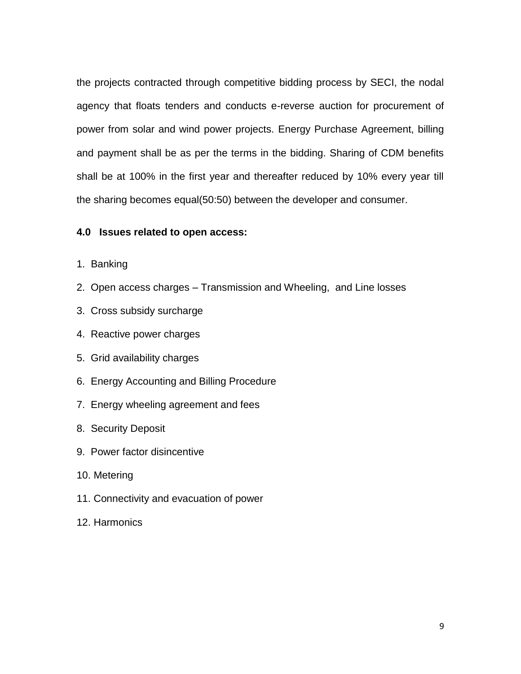the projects contracted through competitive bidding process by SECI, the nodal agency that floats tenders and conducts e-reverse auction for procurement of power from solar and wind power projects. Energy Purchase Agreement, billing and payment shall be as per the terms in the bidding. Sharing of CDM benefits shall be at 100% in the first year and thereafter reduced by 10% every year till the sharing becomes equal(50:50) between the developer and consumer.

## **4.0 Issues related to open access:**

- 1. Banking
- 2. Open access charges Transmission and Wheeling, and Line losses
- 3. Cross subsidy surcharge
- 4. Reactive power charges
- 5. Grid availability charges
- 6. Energy Accounting and Billing Procedure
- 7. Energy wheeling agreement and fees
- 8. Security Deposit
- 9. Power factor disincentive
- 10. Metering
- 11. Connectivity and evacuation of power
- 12. Harmonics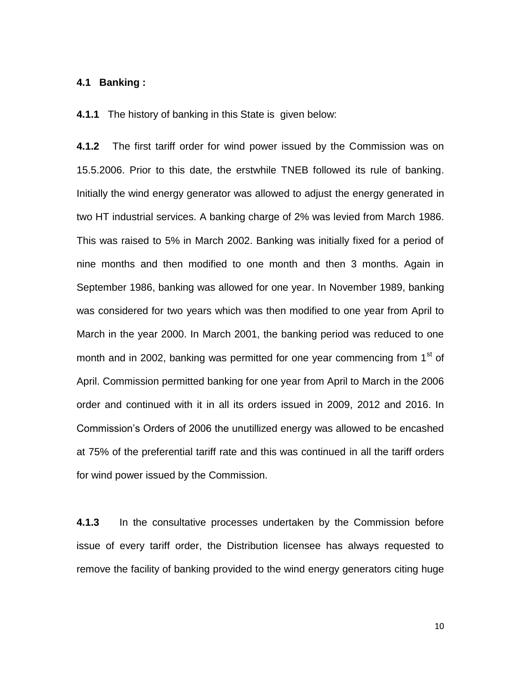## **4.1 Banking :**

**4.1.1** The history of banking in this State is given below:

**4.1.2** The first tariff order for wind power issued by the Commission was on 15.5.2006. Prior to this date, the erstwhile TNEB followed its rule of banking. Initially the wind energy generator was allowed to adjust the energy generated in two HT industrial services. A banking charge of 2% was levied from March 1986. This was raised to 5% in March 2002. Banking was initially fixed for a period of nine months and then modified to one month and then 3 months. Again in September 1986, banking was allowed for one year. In November 1989, banking was considered for two years which was then modified to one year from April to March in the year 2000. In March 2001, the banking period was reduced to one month and in 2002, banking was permitted for one year commencing from  $1<sup>st</sup>$  of April. Commission permitted banking for one year from April to March in the 2006 order and continued with it in all its orders issued in 2009, 2012 and 2016. In Commission's Orders of 2006 the unutillized energy was allowed to be encashed at 75% of the preferential tariff rate and this was continued in all the tariff orders for wind power issued by the Commission.

**4.1.3** In the consultative processes undertaken by the Commission before issue of every tariff order, the Distribution licensee has always requested to remove the facility of banking provided to the wind energy generators citing huge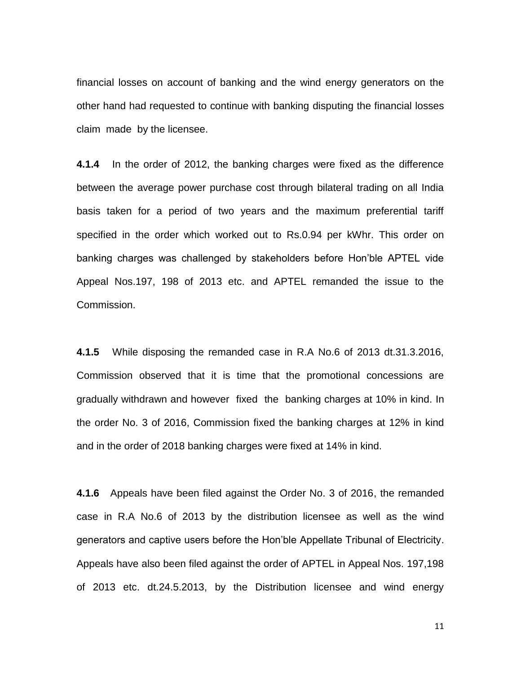financial losses on account of banking and the wind energy generators on the other hand had requested to continue with banking disputing the financial losses claim made by the licensee.

**4.1.4** In the order of 2012, the banking charges were fixed as the difference between the average power purchase cost through bilateral trading on all India basis taken for a period of two years and the maximum preferential tariff specified in the order which worked out to Rs.0.94 per kWhr. This order on banking charges was challenged by stakeholders before Hon'ble APTEL vide Appeal Nos.197, 198 of 2013 etc. and APTEL remanded the issue to the Commission.

**4.1.5** While disposing the remanded case in R.A No.6 of 2013 dt.31.3.2016, Commission observed that it is time that the promotional concessions are gradually withdrawn and however fixed the banking charges at 10% in kind. In the order No. 3 of 2016, Commission fixed the banking charges at 12% in kind and in the order of 2018 banking charges were fixed at 14% in kind.

**4.1.6** Appeals have been filed against the Order No. 3 of 2016, the remanded case in R.A No.6 of 2013 by the distribution licensee as well as the wind generators and captive users before the Hon'ble Appellate Tribunal of Electricity. Appeals have also been filed against the order of APTEL in Appeal Nos. 197,198 of 2013 etc. dt.24.5.2013, by the Distribution licensee and wind energy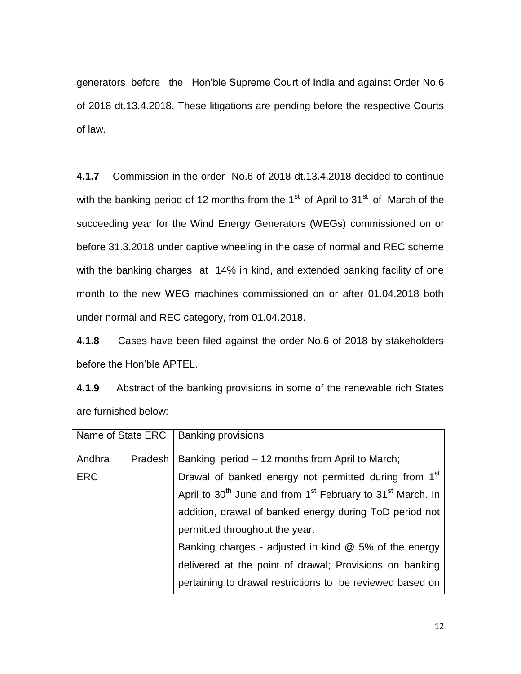generators before the Hon'ble Supreme Court of India and against Order No.6 of 2018 dt.13.4.2018. These litigations are pending before the respective Courts of law.

**4.1.7** Commission in the order No.6 of 2018 dt.13.4.2018 decided to continue with the banking period of 12 months from the  $1<sup>st</sup>$  of April to 31<sup>st</sup> of March of the succeeding year for the Wind Energy Generators (WEGs) commissioned on or before 31.3.2018 under captive wheeling in the case of normal and REC scheme with the banking charges at 14% in kind, and extended banking facility of one month to the new WEG machines commissioned on or after 01.04.2018 both under normal and REC category, from 01.04.2018.

**4.1.8** Cases have been filed against the order No.6 of 2018 by stakeholders before the Hon'ble APTEL.

**4.1.9** Abstract of the banking provisions in some of the renewable rich States are furnished below:

| Name of State ERC   Banking provisions |         |                                                                                                |
|----------------------------------------|---------|------------------------------------------------------------------------------------------------|
| Andhra                                 | Pradesh | Banking period – 12 months from April to March;                                                |
| <b>ERC</b>                             |         | Drawal of banked energy not permitted during from 1 <sup>st</sup>                              |
|                                        |         | April to 30 <sup>th</sup> June and from 1 <sup>st</sup> February to 31 <sup>st</sup> March. In |
|                                        |         | addition, drawal of banked energy during ToD period not                                        |
|                                        |         | permitted throughout the year.                                                                 |
|                                        |         | Banking charges - adjusted in kind $@$ 5% of the energy                                        |
|                                        |         | delivered at the point of drawal; Provisions on banking                                        |
|                                        |         | pertaining to drawal restrictions to be reviewed based on                                      |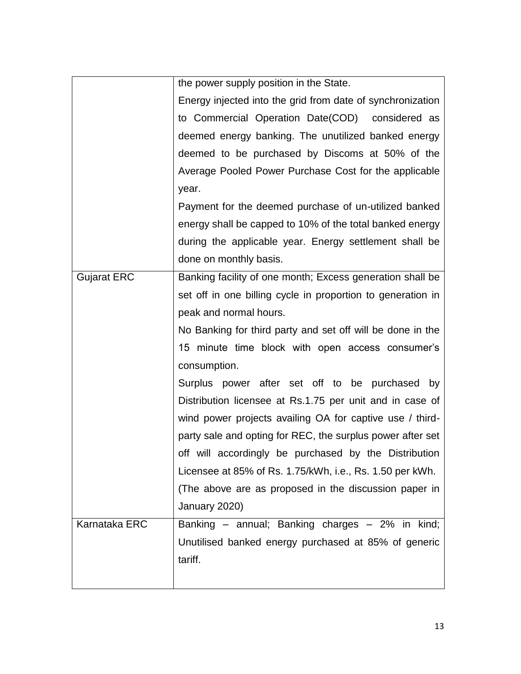|                    | the power supply position in the State.                     |
|--------------------|-------------------------------------------------------------|
|                    | Energy injected into the grid from date of synchronization  |
|                    | to Commercial Operation Date(COD) considered as             |
|                    | deemed energy banking. The unutilized banked energy         |
|                    | deemed to be purchased by Discoms at 50% of the             |
|                    | Average Pooled Power Purchase Cost for the applicable       |
|                    | year.                                                       |
|                    | Payment for the deemed purchase of un-utilized banked       |
|                    | energy shall be capped to 10% of the total banked energy    |
|                    | during the applicable year. Energy settlement shall be      |
|                    | done on monthly basis.                                      |
| <b>Gujarat ERC</b> | Banking facility of one month; Excess generation shall be   |
|                    | set off in one billing cycle in proportion to generation in |
|                    | peak and normal hours.                                      |
|                    | No Banking for third party and set off will be done in the  |
|                    | 15 minute time block with open access consumer's            |
|                    | consumption.                                                |
|                    | Surplus power after set off to be purchased<br>by           |
|                    | Distribution licensee at Rs.1.75 per unit and in case of    |
|                    | wind power projects availing OA for captive use / third-    |
|                    | party sale and opting for REC, the surplus power after set  |
|                    | off will accordingly be purchased by the Distribution       |
|                    | Licensee at 85% of Rs. 1.75/kWh, i.e., Rs. 1.50 per kWh.    |
|                    | (The above are as proposed in the discussion paper in       |
|                    | January 2020)                                               |
| Karnataka ERC      | Banking - annual; Banking charges - 2% in kind;             |
|                    | Unutilised banked energy purchased at 85% of generic        |
|                    | tariff.                                                     |
|                    |                                                             |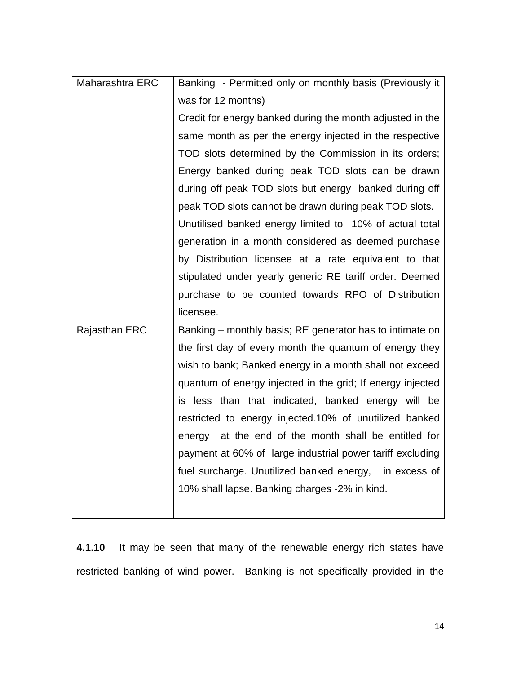| Maharashtra ERC | Banking - Permitted only on monthly basis (Previously it   |
|-----------------|------------------------------------------------------------|
|                 | was for 12 months)                                         |
|                 | Credit for energy banked during the month adjusted in the  |
|                 | same month as per the energy injected in the respective    |
|                 | TOD slots determined by the Commission in its orders;      |
|                 | Energy banked during peak TOD slots can be drawn           |
|                 | during off peak TOD slots but energy banked during off     |
|                 | peak TOD slots cannot be drawn during peak TOD slots.      |
|                 | Unutilised banked energy limited to 10% of actual total    |
|                 | generation in a month considered as deemed purchase        |
|                 | by Distribution licensee at a rate equivalent to that      |
|                 | stipulated under yearly generic RE tariff order. Deemed    |
|                 | purchase to be counted towards RPO of Distribution         |
|                 | licensee.                                                  |
| Rajasthan ERC   | Banking – monthly basis; RE generator has to intimate on   |
|                 | the first day of every month the quantum of energy they    |
|                 | wish to bank; Banked energy in a month shall not exceed    |
|                 | quantum of energy injected in the grid; If energy injected |
|                 | is less than that indicated, banked energy will be         |
|                 | restricted to energy injected.10% of unutilized banked     |
|                 | energy at the end of the month shall be entitled for       |
|                 | payment at 60% of large industrial power tariff excluding  |
|                 | fuel surcharge. Unutilized banked energy, in excess of     |
|                 | 10% shall lapse. Banking charges -2% in kind.              |
|                 |                                                            |

**4.1.10** It may be seen that many of the renewable energy rich states have restricted banking of wind power. Banking is not specifically provided in the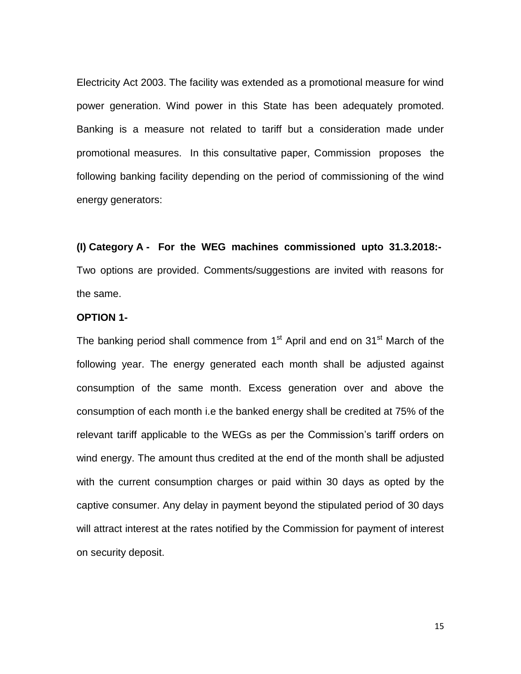Electricity Act 2003. The facility was extended as a promotional measure for wind power generation. Wind power in this State has been adequately promoted. Banking is a measure not related to tariff but a consideration made under promotional measures. In this consultative paper, Commission proposes the following banking facility depending on the period of commissioning of the wind energy generators:

**(I) Category A - For the WEG machines commissioned upto 31.3.2018:-** Two options are provided. Comments/suggestions are invited with reasons for the same.

## **OPTION 1-**

The banking period shall commence from  $1<sup>st</sup>$  April and end on  $31<sup>st</sup>$  March of the following year. The energy generated each month shall be adjusted against consumption of the same month. Excess generation over and above the consumption of each month i.e the banked energy shall be credited at 75% of the relevant tariff applicable to the WEGs as per the Commission's tariff orders on wind energy. The amount thus credited at the end of the month shall be adjusted with the current consumption charges or paid within 30 days as opted by the captive consumer. Any delay in payment beyond the stipulated period of 30 days will attract interest at the rates notified by the Commission for payment of interest on security deposit.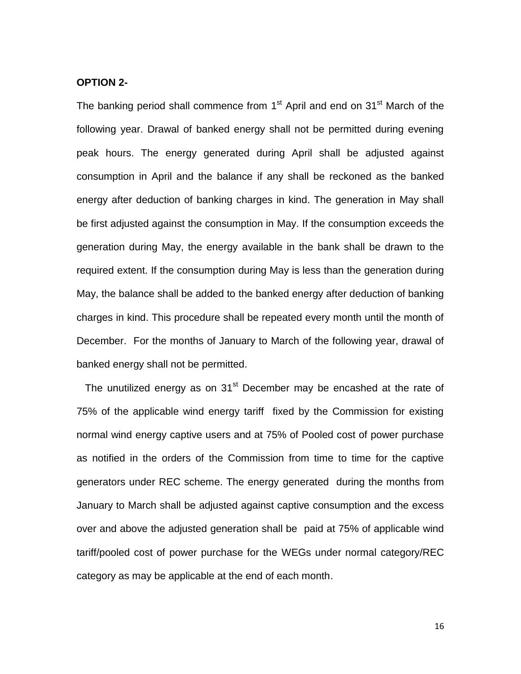#### **OPTION 2-**

The banking period shall commence from 1<sup>st</sup> April and end on 31<sup>st</sup> March of the following year. Drawal of banked energy shall not be permitted during evening peak hours. The energy generated during April shall be adjusted against consumption in April and the balance if any shall be reckoned as the banked energy after deduction of banking charges in kind. The generation in May shall be first adjusted against the consumption in May. If the consumption exceeds the generation during May, the energy available in the bank shall be drawn to the required extent. If the consumption during May is less than the generation during May, the balance shall be added to the banked energy after deduction of banking charges in kind. This procedure shall be repeated every month until the month of December. For the months of January to March of the following year, drawal of banked energy shall not be permitted.

The unutilized energy as on  $31<sup>st</sup>$  December may be encashed at the rate of 75% of the applicable wind energy tariff fixed by the Commission for existing normal wind energy captive users and at 75% of Pooled cost of power purchase as notified in the orders of the Commission from time to time for the captive generators under REC scheme. The energy generated during the months from January to March shall be adjusted against captive consumption and the excess over and above the adjusted generation shall be paid at 75% of applicable wind tariff/pooled cost of power purchase for the WEGs under normal category/REC category as may be applicable at the end of each month.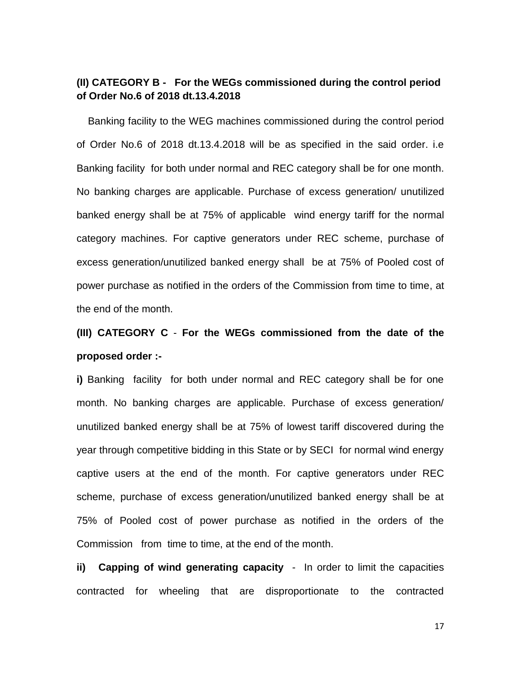# **(II) CATEGORY B - For the WEGs commissioned during the control period of Order No.6 of 2018 dt.13.4.2018**

 Banking facility to the WEG machines commissioned during the control period of Order No.6 of 2018 dt.13.4.2018 will be as specified in the said order. i.e Banking facility for both under normal and REC category shall be for one month. No banking charges are applicable. Purchase of excess generation/ unutilized banked energy shall be at 75% of applicable wind energy tariff for the normal category machines. For captive generators under REC scheme, purchase of excess generation/unutilized banked energy shall be at 75% of Pooled cost of power purchase as notified in the orders of the Commission from time to time, at the end of the month.

# **(III) CATEGORY C** - **For the WEGs commissioned from the date of the proposed order :-**

**i)** Banking facility for both under normal and REC category shall be for one month. No banking charges are applicable. Purchase of excess generation/ unutilized banked energy shall be at 75% of lowest tariff discovered during the year through competitive bidding in this State or by SECI for normal wind energy captive users at the end of the month. For captive generators under REC scheme, purchase of excess generation/unutilized banked energy shall be at 75% of Pooled cost of power purchase as notified in the orders of the Commission from time to time, at the end of the month.

**ii) Capping of wind generating capacity** - In order to limit the capacities contracted for wheeling that are disproportionate to the contracted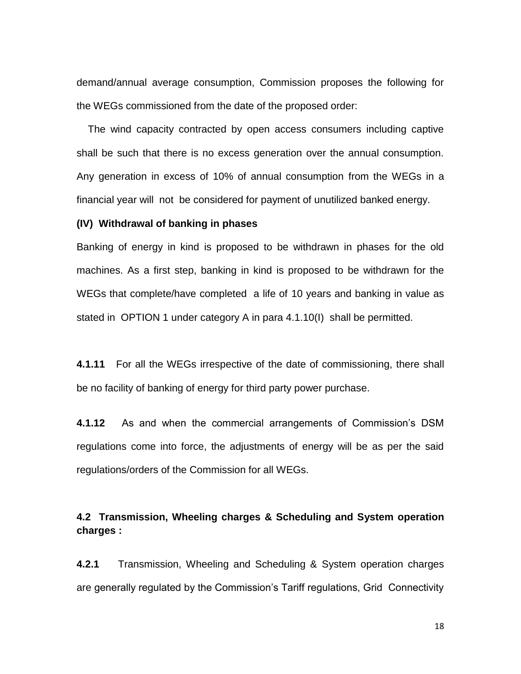demand/annual average consumption, Commission proposes the following for the WEGs commissioned from the date of the proposed order:

 The wind capacity contracted by open access consumers including captive shall be such that there is no excess generation over the annual consumption. Any generation in excess of 10% of annual consumption from the WEGs in a financial year will not be considered for payment of unutilized banked energy.

## **(IV) Withdrawal of banking in phases**

Banking of energy in kind is proposed to be withdrawn in phases for the old machines. As a first step, banking in kind is proposed to be withdrawn for the WEGs that complete/have completed a life of 10 years and banking in value as stated in OPTION 1 under category A in para 4.1.10(I) shall be permitted.

**4.1.11** For all the WEGs irrespective of the date of commissioning, there shall be no facility of banking of energy for third party power purchase.

**4.1.12** As and when the commercial arrangements of Commission's DSM regulations come into force, the adjustments of energy will be as per the said regulations/orders of the Commission for all WEGs.

# **4.2 Transmission, Wheeling charges & Scheduling and System operation charges :**

**4.2.1** Transmission, Wheeling and Scheduling & System operation charges are generally regulated by the Commission's Tariff regulations, Grid Connectivity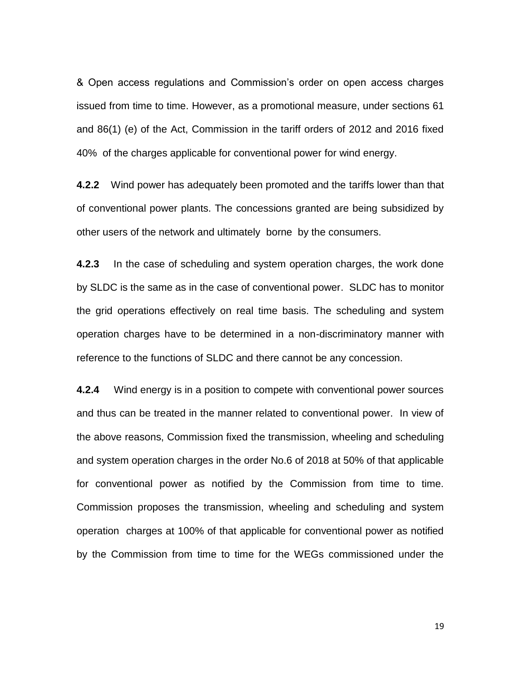& Open access regulations and Commission's order on open access charges issued from time to time. However, as a promotional measure, under sections 61 and 86(1) (e) of the Act, Commission in the tariff orders of 2012 and 2016 fixed 40% of the charges applicable for conventional power for wind energy.

**4.2.2** Wind power has adequately been promoted and the tariffs lower than that of conventional power plants. The concessions granted are being subsidized by other users of the network and ultimately borne by the consumers.

**4.2.3** In the case of scheduling and system operation charges, the work done by SLDC is the same as in the case of conventional power. SLDC has to monitor the grid operations effectively on real time basis. The scheduling and system operation charges have to be determined in a non-discriminatory manner with reference to the functions of SLDC and there cannot be any concession.

**4.2.4** Wind energy is in a position to compete with conventional power sources and thus can be treated in the manner related to conventional power. In view of the above reasons, Commission fixed the transmission, wheeling and scheduling and system operation charges in the order No.6 of 2018 at 50% of that applicable for conventional power as notified by the Commission from time to time. Commission proposes the transmission, wheeling and scheduling and system operation charges at 100% of that applicable for conventional power as notified by the Commission from time to time for the WEGs commissioned under the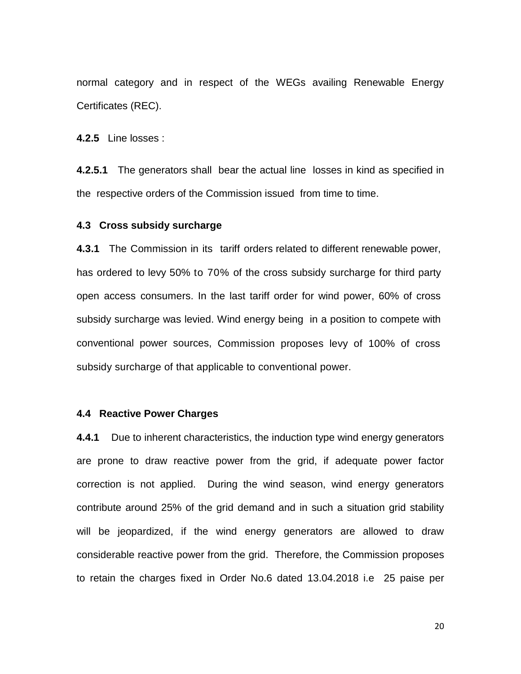normal category and in respect of the WEGs availing Renewable Energy Certificates (REC).

**4.2.5** Line losses :

**4.2.5.1** The generators shall bear the actual line losses in kind as specified in the respective orders of the Commission issued from time to time.

## **4.3 Cross subsidy surcharge**

**4.3.1** The Commission in its tariff orders related to different renewable power, has ordered to levy 50% to 70% of the cross subsidy surcharge for third party open access consumers. In the last tariff order for wind power, 60% of cross subsidy surcharge was levied. Wind energy being in a position to compete with conventional power sources, Commission proposes levy of 100% of cross subsidy surcharge of that applicable to conventional power.

#### **4.4 Reactive Power Charges**

**4.4.1** Due to inherent characteristics, the induction type wind energy generators are prone to draw reactive power from the grid, if adequate power factor correction is not applied. During the wind season, wind energy generators contribute around 25% of the grid demand and in such a situation grid stability will be jeopardized, if the wind energy generators are allowed to draw considerable reactive power from the grid. Therefore, the Commission proposes to retain the charges fixed in Order No.6 dated 13.04.2018 i.e 25 paise per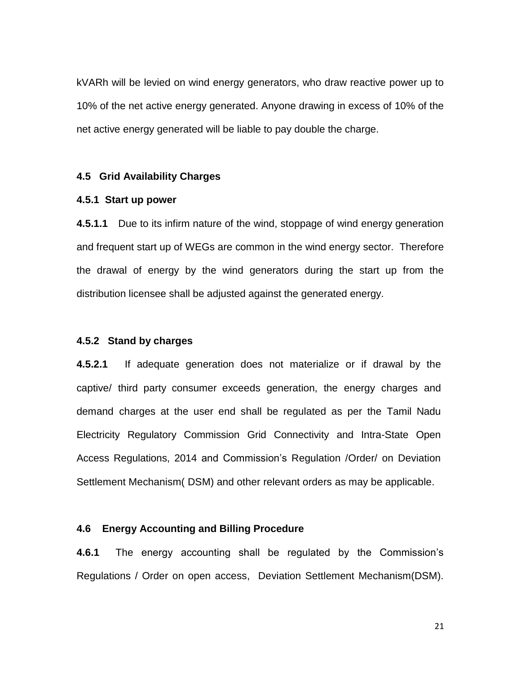kVARh will be levied on wind energy generators, who draw reactive power up to 10% of the net active energy generated. Anyone drawing in excess of 10% of the net active energy generated will be liable to pay double the charge.

### **4.5 Grid Availability Charges**

## **4.5.1 Start up power**

**4.5.1.1** Due to its infirm nature of the wind, stoppage of wind energy generation and frequent start up of WEGs are common in the wind energy sector. Therefore the drawal of energy by the wind generators during the start up from the distribution licensee shall be adjusted against the generated energy.

## **4.5.2 Stand by charges**

**4.5.2.1** If adequate generation does not materialize or if drawal by the captive/ third party consumer exceeds generation, the energy charges and demand charges at the user end shall be regulated as per the Tamil Nadu Electricity Regulatory Commission Grid Connectivity and Intra-State Open Access Regulations, 2014 and Commission's Regulation /Order/ on Deviation Settlement Mechanism( DSM) and other relevant orders as may be applicable.

## **4.6 Energy Accounting and Billing Procedure**

**4.6.1** The energy accounting shall be regulated by the Commission's Regulations / Order on open access, Deviation Settlement Mechanism(DSM).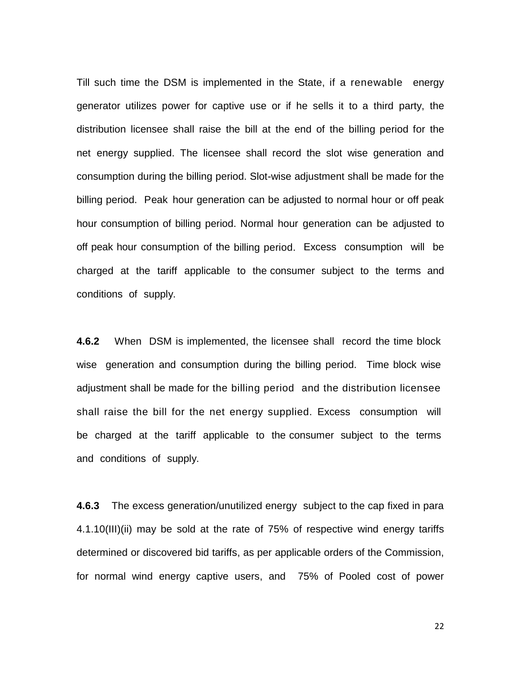Till such time the DSM is implemented in the State, if a renewable energy generator utilizes power for captive use or if he sells it to a third party, the distribution licensee shall raise the bill at the end of the billing period for the net energy supplied. The licensee shall record the slot wise generation and consumption during the billing period. Slot-wise adjustment shall be made for the billing period. Peak hour generation can be adjusted to normal hour or off peak hour consumption of billing period. Normal hour generation can be adjusted to off peak hour consumption of the billing period. Excess consumption will be charged at the tariff applicable to the consumer subject to the terms and conditions of supply.

**4.6.2** When DSM is implemented, the licensee shall record the time block wise generation and consumption during the billing period. Time block wise adjustment shall be made for the billing period and the distribution licensee shall raise the bill for the net energy supplied. Excess consumption will be charged at the tariff applicable to the consumer subject to the terms and conditions of supply.

**4.6.3** The excess generation/unutilized energy subject to the cap fixed in para 4.1.10(III)(ii) may be sold at the rate of 75% of respective wind energy tariffs determined or discovered bid tariffs, as per applicable orders of the Commission, for normal wind energy captive users, and 75% of Pooled cost of power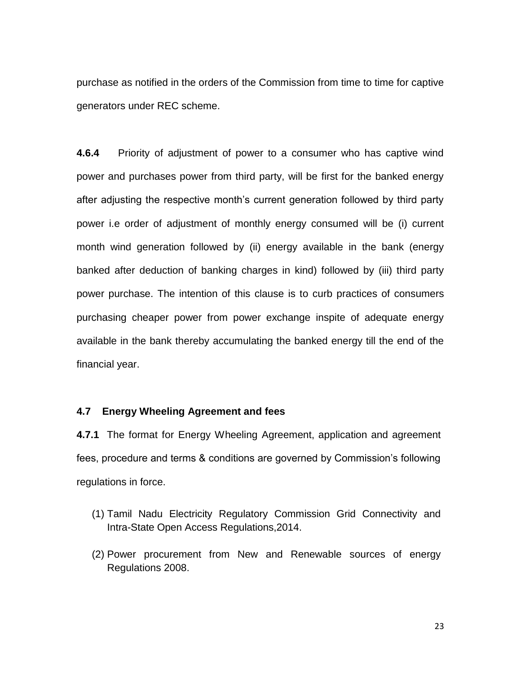purchase as notified in the orders of the Commission from time to time for captive generators under REC scheme.

**4.6.4** Priority of adjustment of power to a consumer who has captive wind power and purchases power from third party, will be first for the banked energy after adjusting the respective month's current generation followed by third party power i.e order of adjustment of monthly energy consumed will be (i) current month wind generation followed by (ii) energy available in the bank (energy banked after deduction of banking charges in kind) followed by (iii) third party power purchase. The intention of this clause is to curb practices of consumers purchasing cheaper power from power exchange inspite of adequate energy available in the bank thereby accumulating the banked energy till the end of the financial year.

## **4.7 Energy Wheeling Agreement and fees**

**4.7.1** The format for Energy Wheeling Agreement, application and agreement fees, procedure and terms & conditions are governed by Commission's following regulations in force.

- (1) Tamil Nadu Electricity Regulatory Commission Grid Connectivity and Intra-State Open Access Regulations,2014.
- (2) Power procurement from New and Renewable sources of energy Regulations 2008.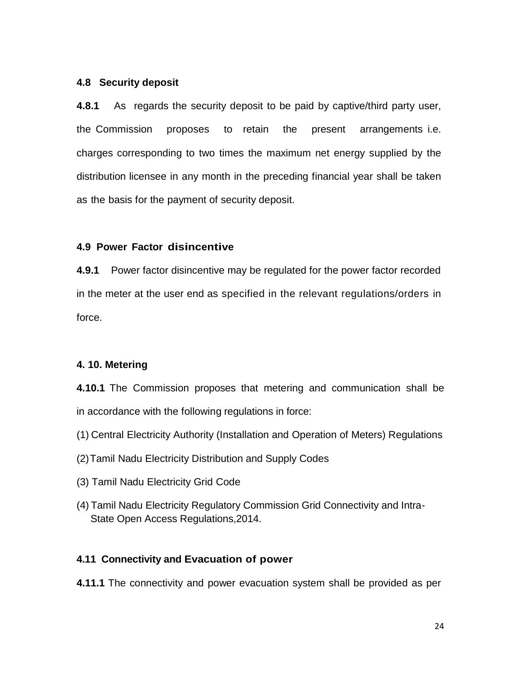## **4.8 Security deposit**

**4.8.1** As regards the security deposit to be paid by captive/third party user, the Commission proposes to retain the present arrangements i.e. charges corresponding to two times the maximum net energy supplied by the distribution licensee in any month in the preceding financial year shall be taken as the basis for the payment of security deposit.

# **4.9 Power Factor disincentive**

**4.9.1** Power factor disincentive may be regulated for the power factor recorded in the meter at the user end as specified in the relevant regulations/orders in force.

# **4. 10. Metering**

**4.10.1** The Commission proposes that metering and communication shall be in accordance with the following regulations in force:

- (1) Central Electricity Authority (Installation and Operation of Meters) Regulations
- (2)Tamil Nadu Electricity Distribution and Supply Codes
- (3) Tamil Nadu Electricity Grid Code
- (4) Tamil Nadu Electricity Regulatory Commission Grid Connectivity and Intra- State Open Access Regulations,2014.

# **4.11 Connectivity and Evacuation of power**

**4.11.1** The connectivity and power evacuation system shall be provided as per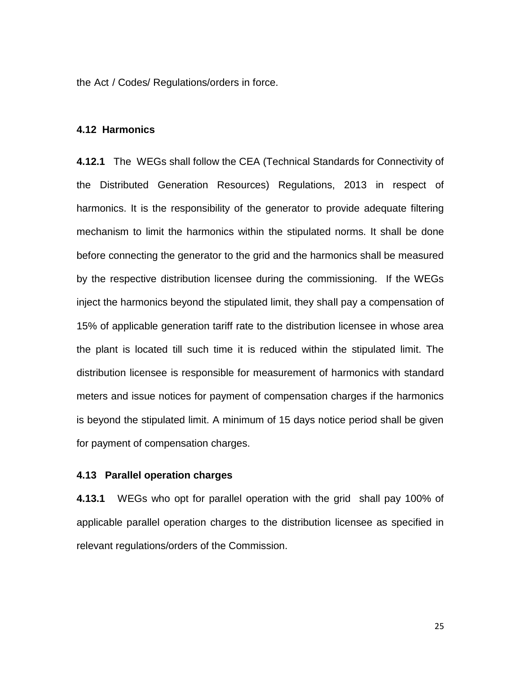the Act / Codes/ Regulations/orders in force.

#### **4.12 Harmonics**

**4.12.1** The WEGs shall follow the CEA (Technical Standards for Connectivity of the Distributed Generation Resources) Regulations, 2013 in respect of harmonics. It is the responsibility of the generator to provide adequate filtering mechanism to limit the harmonics within the stipulated norms. It shall be done before connecting the generator to the grid and the harmonics shall be measured by the respective distribution licensee during the commissioning. If the WEGs inject the harmonics beyond the stipulated limit, they shall pay a compensation of 15% of applicable generation tariff rate to the distribution licensee in whose area the plant is located till such time it is reduced within the stipulated limit. The distribution licensee is responsible for measurement of harmonics with standard meters and issue notices for payment of compensation charges if the harmonics is beyond the stipulated limit. A minimum of 15 days notice period shall be given for payment of compensation charges.

## **4.13 Parallel operation charges**

**4.13.1** WEGs who opt for parallel operation with the grid shall pay 100% of applicable parallel operation charges to the distribution licensee as specified in relevant regulations/orders of the Commission.